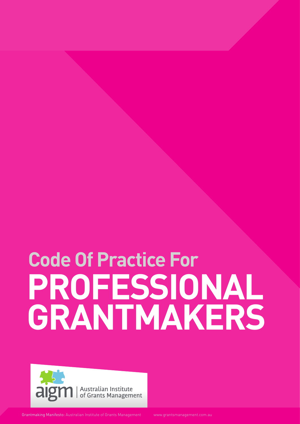# **PROFESSIONAL GRANTMAKERS Code Of Practice For**